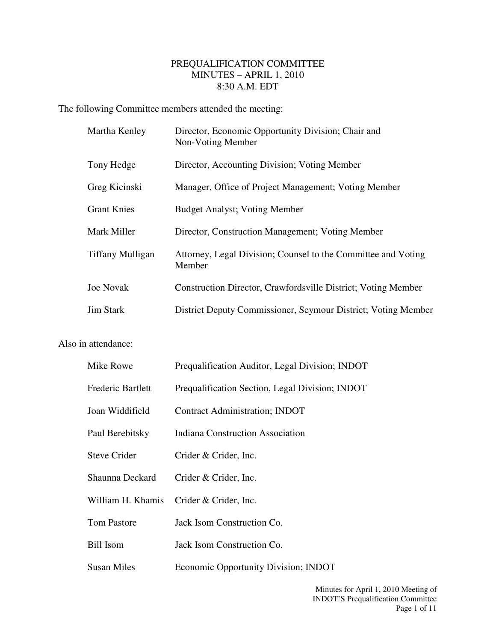## PREQUALIFICATION COMMITTEE MINUTES – APRIL 1, 2010 8:30 A.M. EDT

The following Committee members attended the meeting:

| Martha Kenley      | Director, Economic Opportunity Division; Chair and<br>Non-Voting Member |
|--------------------|-------------------------------------------------------------------------|
| Tony Hedge         | Director, Accounting Division; Voting Member                            |
| Greg Kicinski      | Manager, Office of Project Management; Voting Member                    |
| <b>Grant Knies</b> | <b>Budget Analyst; Voting Member</b>                                    |
| Mark Miller        | Director, Construction Management; Voting Member                        |
| Tiffany Mulligan   | Attorney, Legal Division; Counsel to the Committee and Voting<br>Member |
| <b>Joe Novak</b>   | Construction Director, Crawfordsville District; Voting Member           |
| <b>Jim Stark</b>   | District Deputy Commissioner, Seymour District; Voting Member           |

Also in attendance:

| Mike Rowe                | Prequalification Auditor, Legal Division; INDOT |
|--------------------------|-------------------------------------------------|
| <b>Frederic Bartlett</b> | Prequalification Section, Legal Division; INDOT |
| Joan Widdifield          | <b>Contract Administration; INDOT</b>           |
| Paul Berebitsky          | <b>Indiana Construction Association</b>         |
| <b>Steve Crider</b>      | Crider & Crider, Inc.                           |
| Shaunna Deckard          | Crider & Crider, Inc.                           |
| William H. Khamis        | Crider & Crider, Inc.                           |
| <b>Tom Pastore</b>       | Jack Isom Construction Co.                      |
| <b>Bill Isom</b>         | Jack Isom Construction Co.                      |
| <b>Susan Miles</b>       | <b>Economic Opportunity Division; INDOT</b>     |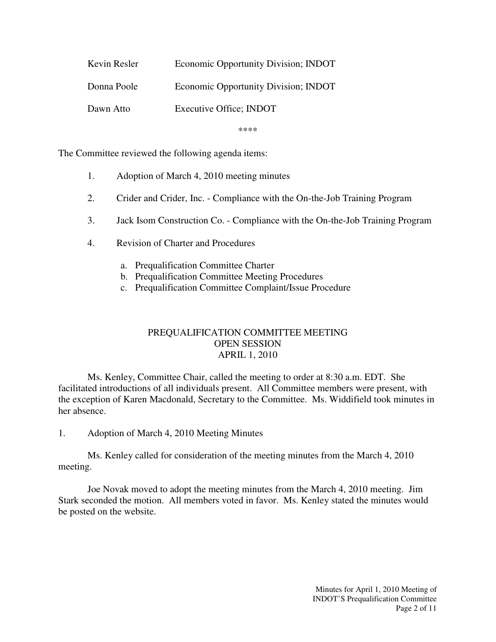| Kevin Resler | Economic Opportunity Division; INDOT |
|--------------|--------------------------------------|
| Donna Poole  | Economic Opportunity Division; INDOT |
| Dawn Atto    | Executive Office; INDOT              |

\*\*\*\*

The Committee reviewed the following agenda items:

- 1. Adoption of March 4, 2010 meeting minutes
- 2. Crider and Crider, Inc. Compliance with the On-the-Job Training Program
- 3. Jack Isom Construction Co. Compliance with the On-the-Job Training Program
- 4. Revision of Charter and Procedures
	- a. Prequalification Committee Charter
	- b. Prequalification Committee Meeting Procedures
	- c. Prequalification Committee Complaint/Issue Procedure

## PREQUALIFICATION COMMITTEE MEETING OPEN SESSION APRIL 1, 2010

 Ms. Kenley, Committee Chair, called the meeting to order at 8:30 a.m. EDT. She facilitated introductions of all individuals present. All Committee members were present, with the exception of Karen Macdonald, Secretary to the Committee. Ms. Widdifield took minutes in her absence.

1. Adoption of March 4, 2010 Meeting Minutes

 Ms. Kenley called for consideration of the meeting minutes from the March 4, 2010 meeting.

 Joe Novak moved to adopt the meeting minutes from the March 4, 2010 meeting. Jim Stark seconded the motion. All members voted in favor. Ms. Kenley stated the minutes would be posted on the website.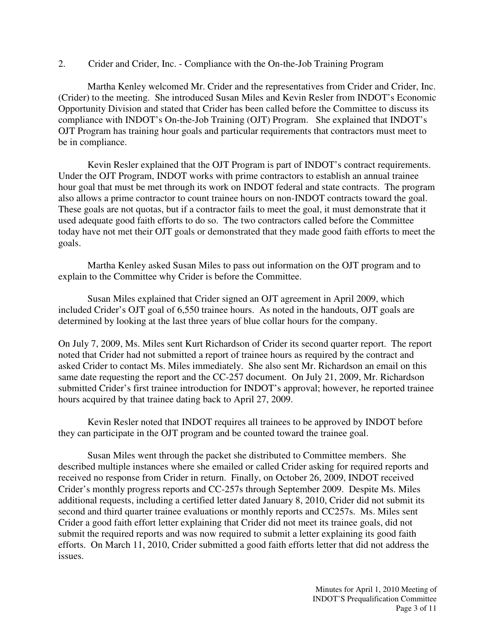2. Crider and Crider, Inc. - Compliance with the On-the-Job Training Program

 Martha Kenley welcomed Mr. Crider and the representatives from Crider and Crider, Inc. (Crider) to the meeting. She introduced Susan Miles and Kevin Resler from INDOT's Economic Opportunity Division and stated that Crider has been called before the Committee to discuss its compliance with INDOT's On-the-Job Training (OJT) Program. She explained that INDOT's OJT Program has training hour goals and particular requirements that contractors must meet to be in compliance.

 Kevin Resler explained that the OJT Program is part of INDOT's contract requirements. Under the OJT Program, INDOT works with prime contractors to establish an annual trainee hour goal that must be met through its work on INDOT federal and state contracts. The program also allows a prime contractor to count trainee hours on non-INDOT contracts toward the goal. These goals are not quotas, but if a contractor fails to meet the goal, it must demonstrate that it used adequate good faith efforts to do so. The two contractors called before the Committee today have not met their OJT goals or demonstrated that they made good faith efforts to meet the goals.

 Martha Kenley asked Susan Miles to pass out information on the OJT program and to explain to the Committee why Crider is before the Committee.

 Susan Miles explained that Crider signed an OJT agreement in April 2009, which included Crider's OJT goal of 6,550 trainee hours. As noted in the handouts, OJT goals are determined by looking at the last three years of blue collar hours for the company.

On July 7, 2009, Ms. Miles sent Kurt Richardson of Crider its second quarter report. The report noted that Crider had not submitted a report of trainee hours as required by the contract and asked Crider to contact Ms. Miles immediately. She also sent Mr. Richardson an email on this same date requesting the report and the CC-257 document. On July 21, 2009, Mr. Richardson submitted Crider's first trainee introduction for INDOT's approval; however, he reported trainee hours acquired by that trainee dating back to April 27, 2009.

 Kevin Resler noted that INDOT requires all trainees to be approved by INDOT before they can participate in the OJT program and be counted toward the trainee goal.

 Susan Miles went through the packet she distributed to Committee members. She described multiple instances where she emailed or called Crider asking for required reports and received no response from Crider in return. Finally, on October 26, 2009, INDOT received Crider's monthly progress reports and CC-257s through September 2009. Despite Ms. Miles additional requests, including a certified letter dated January 8, 2010, Crider did not submit its second and third quarter trainee evaluations or monthly reports and CC257s. Ms. Miles sent Crider a good faith effort letter explaining that Crider did not meet its trainee goals, did not submit the required reports and was now required to submit a letter explaining its good faith efforts. On March 11, 2010, Crider submitted a good faith efforts letter that did not address the issues.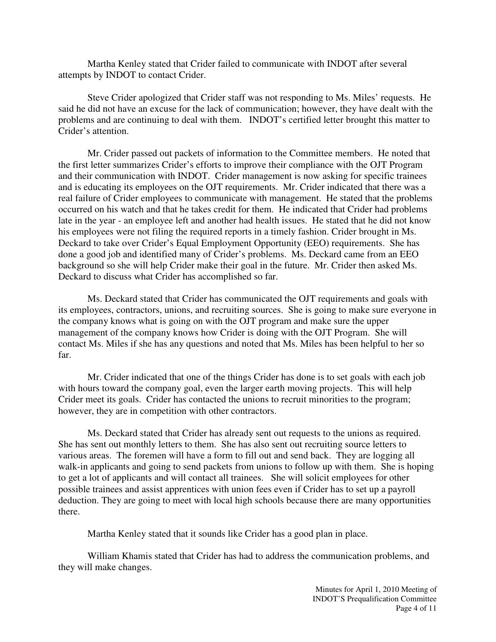Martha Kenley stated that Crider failed to communicate with INDOT after several attempts by INDOT to contact Crider.

 Steve Crider apologized that Crider staff was not responding to Ms. Miles' requests. He said he did not have an excuse for the lack of communication; however, they have dealt with the problems and are continuing to deal with them. INDOT's certified letter brought this matter to Crider's attention.

 Mr. Crider passed out packets of information to the Committee members. He noted that the first letter summarizes Crider's efforts to improve their compliance with the OJT Program and their communication with INDOT. Crider management is now asking for specific trainees and is educating its employees on the OJT requirements. Mr. Crider indicated that there was a real failure of Crider employees to communicate with management. He stated that the problems occurred on his watch and that he takes credit for them. He indicated that Crider had problems late in the year - an employee left and another had health issues. He stated that he did not know his employees were not filing the required reports in a timely fashion. Crider brought in Ms. Deckard to take over Crider's Equal Employment Opportunity (EEO) requirements. She has done a good job and identified many of Crider's problems. Ms. Deckard came from an EEO background so she will help Crider make their goal in the future. Mr. Crider then asked Ms. Deckard to discuss what Crider has accomplished so far.

 Ms. Deckard stated that Crider has communicated the OJT requirements and goals with its employees, contractors, unions, and recruiting sources. She is going to make sure everyone in the company knows what is going on with the OJT program and make sure the upper management of the company knows how Crider is doing with the OJT Program. She will contact Ms. Miles if she has any questions and noted that Ms. Miles has been helpful to her so far.

 Mr. Crider indicated that one of the things Crider has done is to set goals with each job with hours toward the company goal, even the larger earth moving projects. This will help Crider meet its goals. Crider has contacted the unions to recruit minorities to the program; however, they are in competition with other contractors.

 Ms. Deckard stated that Crider has already sent out requests to the unions as required. She has sent out monthly letters to them. She has also sent out recruiting source letters to various areas. The foremen will have a form to fill out and send back. They are logging all walk-in applicants and going to send packets from unions to follow up with them. She is hoping to get a lot of applicants and will contact all trainees. She will solicit employees for other possible trainees and assist apprentices with union fees even if Crider has to set up a payroll deduction. They are going to meet with local high schools because there are many opportunities there.

Martha Kenley stated that it sounds like Crider has a good plan in place.

 William Khamis stated that Crider has had to address the communication problems, and they will make changes.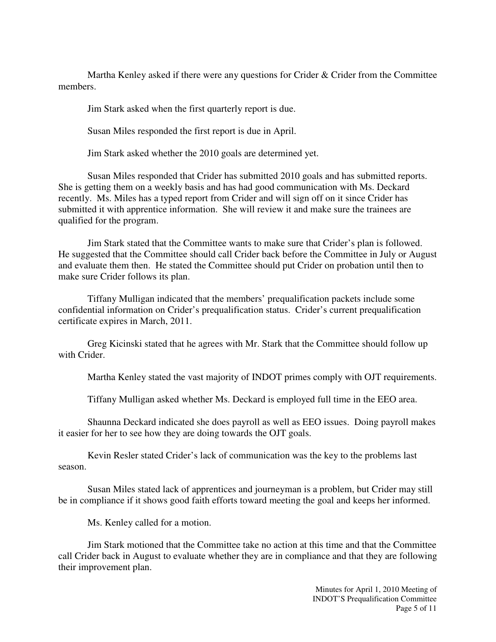Martha Kenley asked if there were any questions for Crider & Crider from the Committee members.

Jim Stark asked when the first quarterly report is due.

Susan Miles responded the first report is due in April.

Jim Stark asked whether the 2010 goals are determined yet.

 Susan Miles responded that Crider has submitted 2010 goals and has submitted reports. She is getting them on a weekly basis and has had good communication with Ms. Deckard recently. Ms. Miles has a typed report from Crider and will sign off on it since Crider has submitted it with apprentice information. She will review it and make sure the trainees are qualified for the program.

 Jim Stark stated that the Committee wants to make sure that Crider's plan is followed. He suggested that the Committee should call Crider back before the Committee in July or August and evaluate them then. He stated the Committee should put Crider on probation until then to make sure Crider follows its plan.

 Tiffany Mulligan indicated that the members' prequalification packets include some confidential information on Crider's prequalification status. Crider's current prequalification certificate expires in March, 2011.

 Greg Kicinski stated that he agrees with Mr. Stark that the Committee should follow up with Crider.

Martha Kenley stated the vast majority of INDOT primes comply with OJT requirements.

Tiffany Mulligan asked whether Ms. Deckard is employed full time in the EEO area.

 Shaunna Deckard indicated she does payroll as well as EEO issues. Doing payroll makes it easier for her to see how they are doing towards the OJT goals.

 Kevin Resler stated Crider's lack of communication was the key to the problems last season.

 Susan Miles stated lack of apprentices and journeyman is a problem, but Crider may still be in compliance if it shows good faith efforts toward meeting the goal and keeps her informed.

Ms. Kenley called for a motion.

 Jim Stark motioned that the Committee take no action at this time and that the Committee call Crider back in August to evaluate whether they are in compliance and that they are following their improvement plan.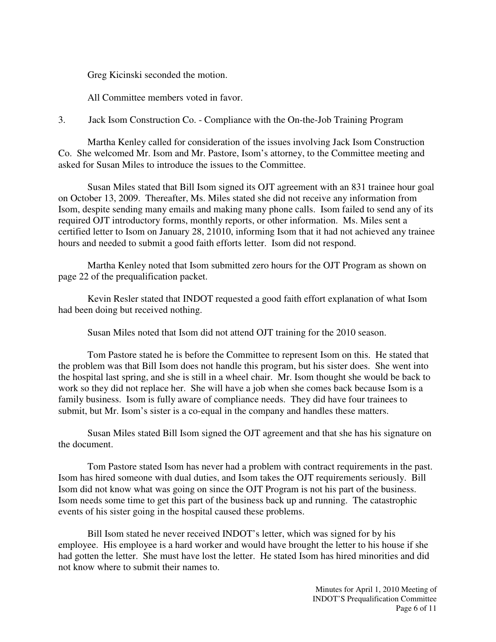Greg Kicinski seconded the motion.

All Committee members voted in favor.

3. Jack Isom Construction Co. - Compliance with the On-the-Job Training Program

 Martha Kenley called for consideration of the issues involving Jack Isom Construction Co. She welcomed Mr. Isom and Mr. Pastore, Isom's attorney, to the Committee meeting and asked for Susan Miles to introduce the issues to the Committee.

 Susan Miles stated that Bill Isom signed its OJT agreement with an 831 trainee hour goal on October 13, 2009. Thereafter, Ms. Miles stated she did not receive any information from Isom, despite sending many emails and making many phone calls. Isom failed to send any of its required OJT introductory forms, monthly reports, or other information. Ms. Miles sent a certified letter to Isom on January 28, 21010, informing Isom that it had not achieved any trainee hours and needed to submit a good faith efforts letter. Isom did not respond.

 Martha Kenley noted that Isom submitted zero hours for the OJT Program as shown on page 22 of the prequalification packet.

 Kevin Resler stated that INDOT requested a good faith effort explanation of what Isom had been doing but received nothing.

Susan Miles noted that Isom did not attend OJT training for the 2010 season.

 Tom Pastore stated he is before the Committee to represent Isom on this. He stated that the problem was that Bill Isom does not handle this program, but his sister does. She went into the hospital last spring, and she is still in a wheel chair. Mr. Isom thought she would be back to work so they did not replace her. She will have a job when she comes back because Isom is a family business. Isom is fully aware of compliance needs. They did have four trainees to submit, but Mr. Isom's sister is a co-equal in the company and handles these matters.

 Susan Miles stated Bill Isom signed the OJT agreement and that she has his signature on the document.

 Tom Pastore stated Isom has never had a problem with contract requirements in the past. Isom has hired someone with dual duties, and Isom takes the OJT requirements seriously. Bill Isom did not know what was going on since the OJT Program is not his part of the business. Isom needs some time to get this part of the business back up and running. The catastrophic events of his sister going in the hospital caused these problems.

 Bill Isom stated he never received INDOT's letter, which was signed for by his employee. His employee is a hard worker and would have brought the letter to his house if she had gotten the letter. She must have lost the letter. He stated Isom has hired minorities and did not know where to submit their names to.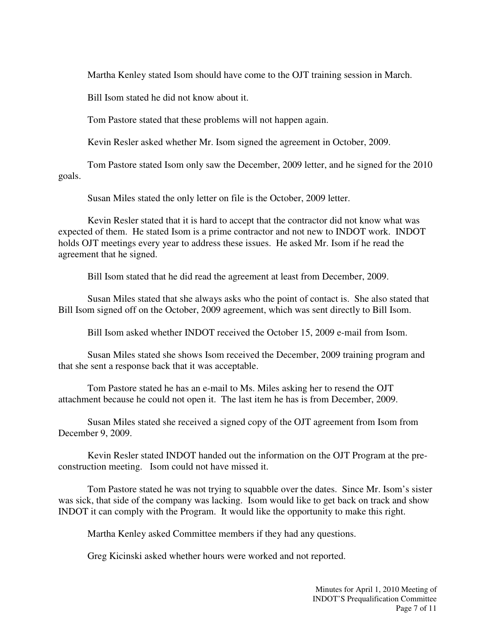Martha Kenley stated Isom should have come to the OJT training session in March.

Bill Isom stated he did not know about it.

Tom Pastore stated that these problems will not happen again.

Kevin Resler asked whether Mr. Isom signed the agreement in October, 2009.

 Tom Pastore stated Isom only saw the December, 2009 letter, and he signed for the 2010 goals.

Susan Miles stated the only letter on file is the October, 2009 letter.

 Kevin Resler stated that it is hard to accept that the contractor did not know what was expected of them. He stated Isom is a prime contractor and not new to INDOT work. INDOT holds OJT meetings every year to address these issues. He asked Mr. Isom if he read the agreement that he signed.

Bill Isom stated that he did read the agreement at least from December, 2009.

 Susan Miles stated that she always asks who the point of contact is. She also stated that Bill Isom signed off on the October, 2009 agreement, which was sent directly to Bill Isom.

Bill Isom asked whether INDOT received the October 15, 2009 e-mail from Isom.

 Susan Miles stated she shows Isom received the December, 2009 training program and that she sent a response back that it was acceptable.

 Tom Pastore stated he has an e-mail to Ms. Miles asking her to resend the OJT attachment because he could not open it. The last item he has is from December, 2009.

 Susan Miles stated she received a signed copy of the OJT agreement from Isom from December 9, 2009.

 Kevin Resler stated INDOT handed out the information on the OJT Program at the preconstruction meeting. Isom could not have missed it.

 Tom Pastore stated he was not trying to squabble over the dates. Since Mr. Isom's sister was sick, that side of the company was lacking. Isom would like to get back on track and show INDOT it can comply with the Program. It would like the opportunity to make this right.

Martha Kenley asked Committee members if they had any questions.

Greg Kicinski asked whether hours were worked and not reported.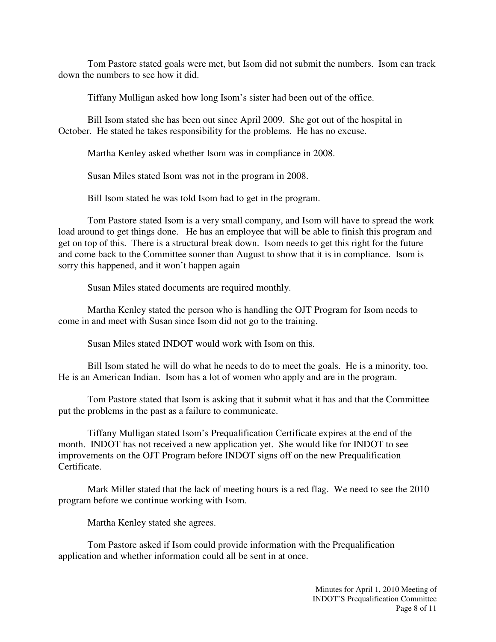Tom Pastore stated goals were met, but Isom did not submit the numbers. Isom can track down the numbers to see how it did.

Tiffany Mulligan asked how long Isom's sister had been out of the office.

 Bill Isom stated she has been out since April 2009. She got out of the hospital in October. He stated he takes responsibility for the problems. He has no excuse.

Martha Kenley asked whether Isom was in compliance in 2008.

Susan Miles stated Isom was not in the program in 2008.

Bill Isom stated he was told Isom had to get in the program.

 Tom Pastore stated Isom is a very small company, and Isom will have to spread the work load around to get things done. He has an employee that will be able to finish this program and get on top of this. There is a structural break down. Isom needs to get this right for the future and come back to the Committee sooner than August to show that it is in compliance. Isom is sorry this happened, and it won't happen again

Susan Miles stated documents are required monthly.

 Martha Kenley stated the person who is handling the OJT Program for Isom needs to come in and meet with Susan since Isom did not go to the training.

Susan Miles stated INDOT would work with Isom on this.

 Bill Isom stated he will do what he needs to do to meet the goals. He is a minority, too. He is an American Indian. Isom has a lot of women who apply and are in the program.

 Tom Pastore stated that Isom is asking that it submit what it has and that the Committee put the problems in the past as a failure to communicate.

 Tiffany Mulligan stated Isom's Prequalification Certificate expires at the end of the month. INDOT has not received a new application yet. She would like for INDOT to see improvements on the OJT Program before INDOT signs off on the new Prequalification Certificate.

 Mark Miller stated that the lack of meeting hours is a red flag. We need to see the 2010 program before we continue working with Isom.

Martha Kenley stated she agrees.

 Tom Pastore asked if Isom could provide information with the Prequalification application and whether information could all be sent in at once.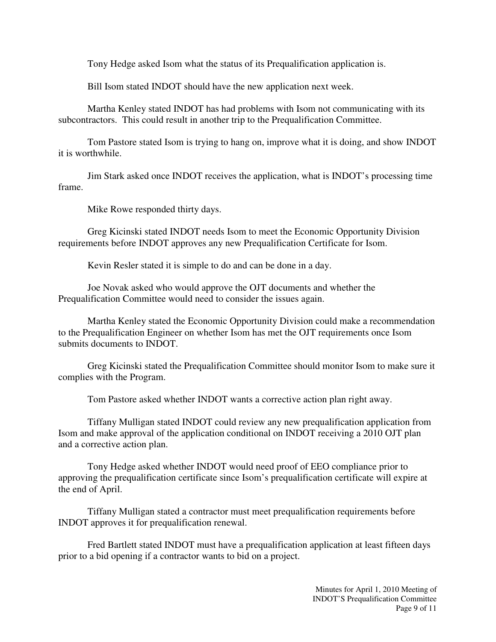Tony Hedge asked Isom what the status of its Prequalification application is.

Bill Isom stated INDOT should have the new application next week.

 Martha Kenley stated INDOT has had problems with Isom not communicating with its subcontractors. This could result in another trip to the Prequalification Committee.

 Tom Pastore stated Isom is trying to hang on, improve what it is doing, and show INDOT it is worthwhile.

 Jim Stark asked once INDOT receives the application, what is INDOT's processing time frame.

Mike Rowe responded thirty days.

 Greg Kicinski stated INDOT needs Isom to meet the Economic Opportunity Division requirements before INDOT approves any new Prequalification Certificate for Isom.

Kevin Resler stated it is simple to do and can be done in a day.

 Joe Novak asked who would approve the OJT documents and whether the Prequalification Committee would need to consider the issues again.

 Martha Kenley stated the Economic Opportunity Division could make a recommendation to the Prequalification Engineer on whether Isom has met the OJT requirements once Isom submits documents to INDOT.

 Greg Kicinski stated the Prequalification Committee should monitor Isom to make sure it complies with the Program.

Tom Pastore asked whether INDOT wants a corrective action plan right away.

 Tiffany Mulligan stated INDOT could review any new prequalification application from Isom and make approval of the application conditional on INDOT receiving a 2010 OJT plan and a corrective action plan.

 Tony Hedge asked whether INDOT would need proof of EEO compliance prior to approving the prequalification certificate since Isom's prequalification certificate will expire at the end of April.

 Tiffany Mulligan stated a contractor must meet prequalification requirements before INDOT approves it for prequalification renewal.

 Fred Bartlett stated INDOT must have a prequalification application at least fifteen days prior to a bid opening if a contractor wants to bid on a project.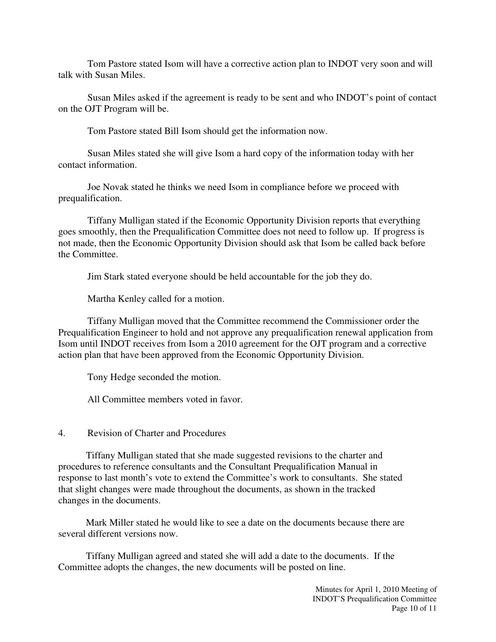Tom Pastore stated Isom will have a corrective action plan to INDOT very soon and will talk with Susan Miles.

 Susan Miles asked if the agreement is ready to be sent and who INDOT's point of contact on the OJT Program will be.

Tom Pastore stated Bill Isom should get the information now.

 Susan Miles stated she will give Isom a hard copy of the information today with her contact information.

 Joe Novak stated he thinks we need Isom in compliance before we proceed with prequalification.

 Tiffany Mulligan stated if the Economic Opportunity Division reports that everything goes smoothly, then the Prequalification Committee does not need to follow up. If progress is not made, then the Economic Opportunity Division should ask that Isom be called back before the Committee.

Jim Stark stated everyone should be held accountable for the job they do.

Martha Kenley called for a motion.

 Tiffany Mulligan moved that the Committee recommend the Commissioner order the Prequalification Engineer to hold and not approve any prequalification renewal application from Isom until INDOT receives from Isom a 2010 agreement for the OJT program and a corrective action plan that have been approved from the Economic Opportunity Division.

Tony Hedge seconded the motion.

All Committee members voted in favor.

4. Revision of Charter and Procedures

 Tiffany Mulligan stated that she made suggested revisions to the charter and procedures to reference consultants and the Consultant Prequalification Manual in response to last month's vote to extend the Committee's work to consultants. She stated that slight changes were made throughout the documents, as shown in the tracked changes in the documents.

 Mark Miller stated he would like to see a date on the documents because there are several different versions now.

 Tiffany Mulligan agreed and stated she will add a date to the documents. If the Committee adopts the changes, the new documents will be posted on line.